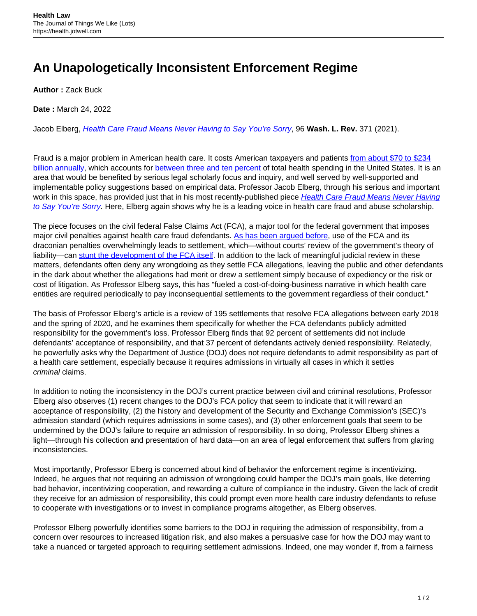## **An Unapologetically Inconsistent Enforcement Regime**

**Author :** Zack Buck

**Date :** March 24, 2022

Jacob Elberg, [Health Care Fraud Means Never Having to Say You're Sorry](https://digitalcommons.law.uw.edu/wlr/vol96/iss2/5/), 96 **Wash. L. Rev.** 371 (2021).

Fraud is a major problem in American health care. It costs American taxpayers and patients [from about \\$70 to \\$234](https://www.ncsl.org/research/health/combating-health-care-fraud-and-abuse.aspx) [billion annually](https://www.ncsl.org/research/health/combating-health-care-fraud-and-abuse.aspx), which accounts for [between three and ten percent](https://journalofethics.ama-assn.org/article/what-should-health-care-organizations-do-reduce-billing-fraud-and-abuse/2020-03) of total health spending in the United States. It is an area that would be benefited by serious legal scholarly focus and inquiry, and well served by well-supported and implementable policy suggestions based on empirical data. Professor Jacob Elberg, through his serious and important work in this space, has provided just that in his most recently-published piece [Health Care Fraud Means Never Having](https://papers.ssrn.com/sol3/papers.cfm?abstract_id=3675931) [to Say You're Sorry](https://papers.ssrn.com/sol3/papers.cfm?abstract_id=3675931). Here, Elberg again shows why he is a leading voice in health care fraud and abuse scholarship.

The piece focuses on the civil federal False Claims Act (FCA), a major tool for the federal government that imposes major civil penalties against health care fraud defendants. [As has been argued before](https://papers.ssrn.com/sol3/papers.cfm?abstract_id=296388), use of the FCA and its draconian penalties overwhelmingly leads to settlement, which—without courts' review of the government's theory of liability—can [stunt the development of the FCA itself.](https://papers.ssrn.com/sol3/papers.cfm?abstract_id=2268244) In addition to the lack of meaningful judicial review in these matters, defendants often deny any wrongdoing as they settle FCA allegations, leaving the public and other defendants in the dark about whether the allegations had merit or drew a settlement simply because of expediency or the risk or cost of litigation. As Professor Elberg says, this has "fueled a cost-of-doing-business narrative in which health care entities are required periodically to pay inconsequential settlements to the government regardless of their conduct."

The basis of Professor Elberg's article is a review of 195 settlements that resolve FCA allegations between early 2018 and the spring of 2020, and he examines them specifically for whether the FCA defendants publicly admitted responsibility for the government's loss. Professor Elberg finds that 92 percent of settlements did not include defendants' acceptance of responsibility, and that 37 percent of defendants actively denied responsibility. Relatedly, he powerfully asks why the Department of Justice (DOJ) does not require defendants to admit responsibility as part of a health care settlement, especially because it requires admissions in virtually all cases in which it settles criminal claims.

In addition to noting the inconsistency in the DOJ's current practice between civil and criminal resolutions, Professor Elberg also observes (1) recent changes to the DOJ's FCA policy that seem to indicate that it will reward an acceptance of responsibility, (2) the history and development of the Security and Exchange Commission's (SEC)'s admission standard (which requires admissions in some cases), and (3) other enforcement goals that seem to be undermined by the DOJ's failure to require an admission of responsibility. In so doing, Professor Elberg shines a light—through his collection and presentation of hard data—on an area of legal enforcement that suffers from glaring inconsistencies.

Most importantly, Professor Elberg is concerned about kind of behavior the enforcement regime is incentivizing. Indeed, he argues that not requiring an admission of wrongdoing could hamper the DOJ's main goals, like deterring bad behavior, incentivizing cooperation, and rewarding a culture of compliance in the industry. Given the lack of credit they receive for an admission of responsibility, this could prompt even more health care industry defendants to refuse to cooperate with investigations or to invest in compliance programs altogether, as Elberg observes.

Professor Elberg powerfully identifies some barriers to the DOJ in requiring the admission of responsibility, from a concern over resources to increased litigation risk, and also makes a persuasive case for how the DOJ may want to take a nuanced or targeted approach to requiring settlement admissions. Indeed, one may wonder if, from a fairness